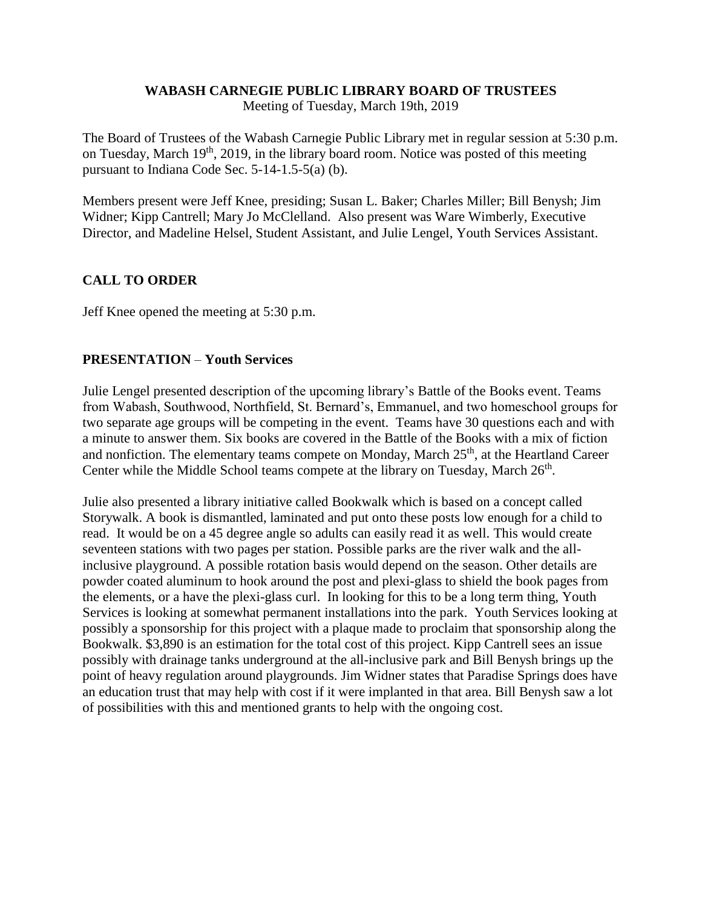#### **WABASH CARNEGIE PUBLIC LIBRARY BOARD OF TRUSTEES**

Meeting of Tuesday, March 19th, 2019

The Board of Trustees of the Wabash Carnegie Public Library met in regular session at 5:30 p.m. on Tuesday, March  $19<sup>th</sup>$ , 2019, in the library board room. Notice was posted of this meeting pursuant to Indiana Code Sec. 5-14-1.5-5(a) (b).

Members present were Jeff Knee, presiding; Susan L. Baker; Charles Miller; Bill Benysh; Jim Widner; Kipp Cantrell; Mary Jo McClelland. Also present was Ware Wimberly, Executive Director, and Madeline Helsel, Student Assistant, and Julie Lengel, Youth Services Assistant.

# **CALL TO ORDER**

Jeff Knee opened the meeting at 5:30 p.m.

# **PRESENTATION** – **Youth Services**

Julie Lengel presented description of the upcoming library's Battle of the Books event. Teams from Wabash, Southwood, Northfield, St. Bernard's, Emmanuel, and two homeschool groups for two separate age groups will be competing in the event. Teams have 30 questions each and with a minute to answer them. Six books are covered in the Battle of the Books with a mix of fiction and nonfiction. The elementary teams compete on Monday, March 25<sup>th</sup>, at the Heartland Career Center while the Middle School teams compete at the library on Tuesday, March 26<sup>th</sup>.

Julie also presented a library initiative called Bookwalk which is based on a concept called Storywalk. A book is dismantled, laminated and put onto these posts low enough for a child to read. It would be on a 45 degree angle so adults can easily read it as well. This would create seventeen stations with two pages per station. Possible parks are the river walk and the allinclusive playground. A possible rotation basis would depend on the season. Other details are powder coated aluminum to hook around the post and plexi-glass to shield the book pages from the elements, or a have the plexi-glass curl. In looking for this to be a long term thing, Youth Services is looking at somewhat permanent installations into the park. Youth Services looking at possibly a sponsorship for this project with a plaque made to proclaim that sponsorship along the Bookwalk. \$3,890 is an estimation for the total cost of this project. Kipp Cantrell sees an issue possibly with drainage tanks underground at the all-inclusive park and Bill Benysh brings up the point of heavy regulation around playgrounds. Jim Widner states that Paradise Springs does have an education trust that may help with cost if it were implanted in that area. Bill Benysh saw a lot of possibilities with this and mentioned grants to help with the ongoing cost.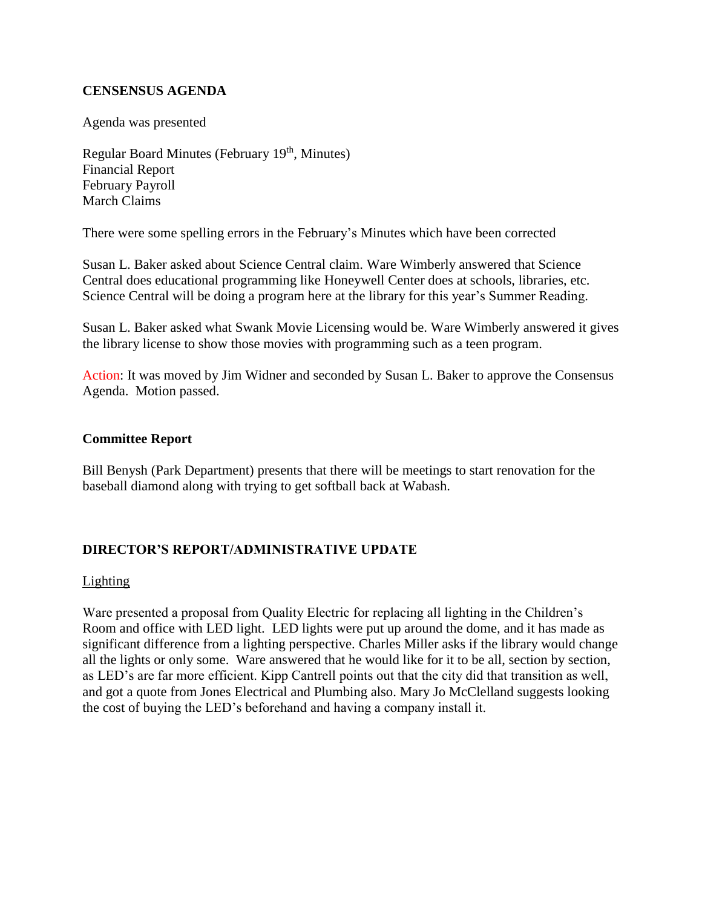# **CENSENSUS AGENDA**

Agenda was presented

Regular Board Minutes (February 19th, Minutes) Financial Report February Payroll March Claims

There were some spelling errors in the February's Minutes which have been corrected

Susan L. Baker asked about Science Central claim. Ware Wimberly answered that Science Central does educational programming like Honeywell Center does at schools, libraries, etc. Science Central will be doing a program here at the library for this year's Summer Reading.

Susan L. Baker asked what Swank Movie Licensing would be. Ware Wimberly answered it gives the library license to show those movies with programming such as a teen program.

Action: It was moved by Jim Widner and seconded by Susan L. Baker to approve the Consensus Agenda. Motion passed.

#### **Committee Report**

Bill Benysh (Park Department) presents that there will be meetings to start renovation for the baseball diamond along with trying to get softball back at Wabash.

# **DIRECTOR'S REPORT/ADMINISTRATIVE UPDATE**

#### Lighting

Ware presented a proposal from Quality Electric for replacing all lighting in the Children's Room and office with LED light. LED lights were put up around the dome, and it has made as significant difference from a lighting perspective. Charles Miller asks if the library would change all the lights or only some. Ware answered that he would like for it to be all, section by section, as LED's are far more efficient. Kipp Cantrell points out that the city did that transition as well, and got a quote from Jones Electrical and Plumbing also. Mary Jo McClelland suggests looking the cost of buying the LED's beforehand and having a company install it.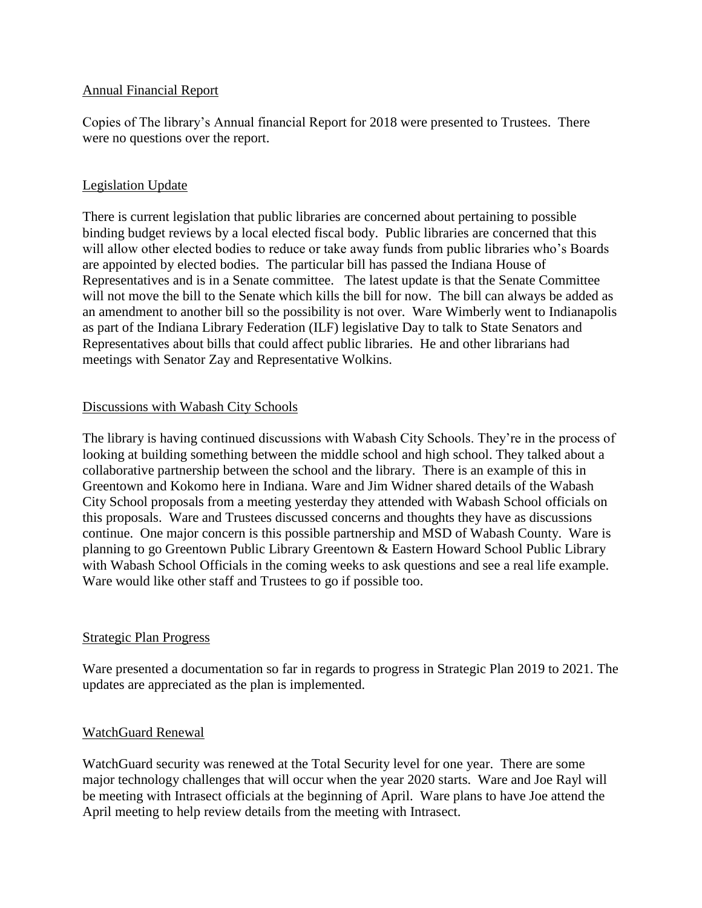#### Annual Financial Report

Copies of The library's Annual financial Report for 2018 were presented to Trustees. There were no questions over the report.

# Legislation Update

There is current legislation that public libraries are concerned about pertaining to possible binding budget reviews by a local elected fiscal body. Public libraries are concerned that this will allow other elected bodies to reduce or take away funds from public libraries who's Boards are appointed by elected bodies. The particular bill has passed the Indiana House of Representatives and is in a Senate committee. The latest update is that the Senate Committee will not move the bill to the Senate which kills the bill for now. The bill can always be added as an amendment to another bill so the possibility is not over. Ware Wimberly went to Indianapolis as part of the Indiana Library Federation (ILF) legislative Day to talk to State Senators and Representatives about bills that could affect public libraries. He and other librarians had meetings with Senator Zay and Representative Wolkins.

# Discussions with Wabash City Schools

The library is having continued discussions with Wabash City Schools. They're in the process of looking at building something between the middle school and high school. They talked about a collaborative partnership between the school and the library. There is an example of this in Greentown and Kokomo here in Indiana. Ware and Jim Widner shared details of the Wabash City School proposals from a meeting yesterday they attended with Wabash School officials on this proposals. Ware and Trustees discussed concerns and thoughts they have as discussions continue. One major concern is this possible partnership and MSD of Wabash County. Ware is planning to go Greentown Public Library Greentown & Eastern Howard School Public Library with Wabash School Officials in the coming weeks to ask questions and see a real life example. Ware would like other staff and Trustees to go if possible too.

#### Strategic Plan Progress

Ware presented a documentation so far in regards to progress in Strategic Plan 2019 to 2021. The updates are appreciated as the plan is implemented.

#### WatchGuard Renewal

WatchGuard security was renewed at the Total Security level for one year. There are some major technology challenges that will occur when the year 2020 starts. Ware and Joe Rayl will be meeting with Intrasect officials at the beginning of April. Ware plans to have Joe attend the April meeting to help review details from the meeting with Intrasect.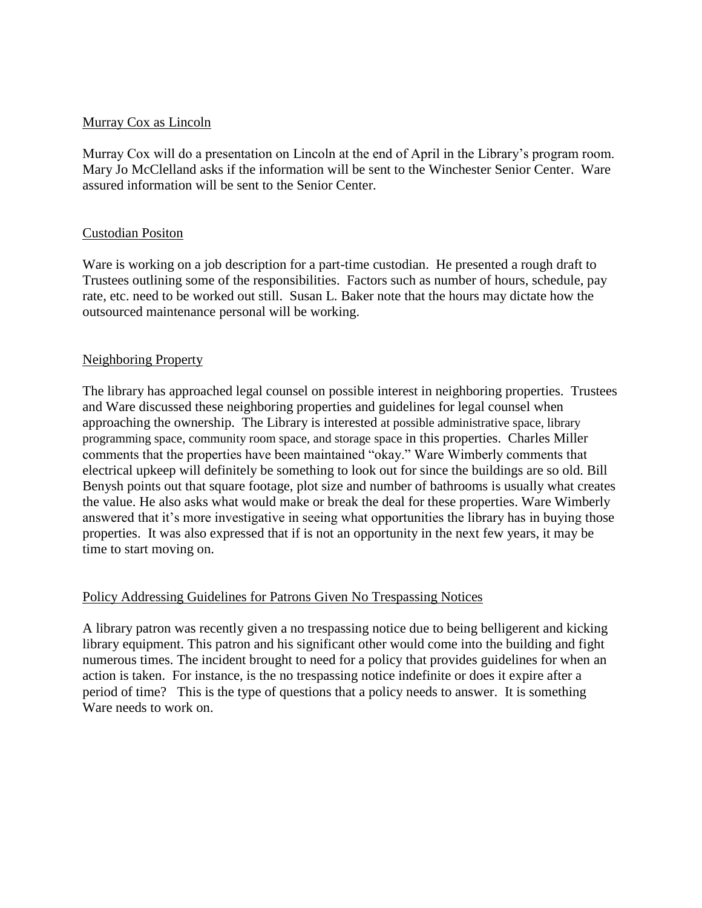#### Murray Cox as Lincoln

Murray Cox will do a presentation on Lincoln at the end of April in the Library's program room. Mary Jo McClelland asks if the information will be sent to the Winchester Senior Center. Ware assured information will be sent to the Senior Center.

#### Custodian Positon

Ware is working on a job description for a part-time custodian. He presented a rough draft to Trustees outlining some of the responsibilities. Factors such as number of hours, schedule, pay rate, etc. need to be worked out still. Susan L. Baker note that the hours may dictate how the outsourced maintenance personal will be working.

#### Neighboring Property

The library has approached legal counsel on possible interest in neighboring properties. Trustees and Ware discussed these neighboring properties and guidelines for legal counsel when approaching the ownership. The Library is interested at possible administrative space, library programming space, community room space, and storage space in this properties. Charles Miller comments that the properties have been maintained "okay." Ware Wimberly comments that electrical upkeep will definitely be something to look out for since the buildings are so old. Bill Benysh points out that square footage, plot size and number of bathrooms is usually what creates the value. He also asks what would make or break the deal for these properties. Ware Wimberly answered that it's more investigative in seeing what opportunities the library has in buying those properties. It was also expressed that if is not an opportunity in the next few years, it may be time to start moving on.

#### Policy Addressing Guidelines for Patrons Given No Trespassing Notices

A library patron was recently given a no trespassing notice due to being belligerent and kicking library equipment. This patron and his significant other would come into the building and fight numerous times. The incident brought to need for a policy that provides guidelines for when an action is taken. For instance, is the no trespassing notice indefinite or does it expire after a period of time? This is the type of questions that a policy needs to answer. It is something Ware needs to work on.